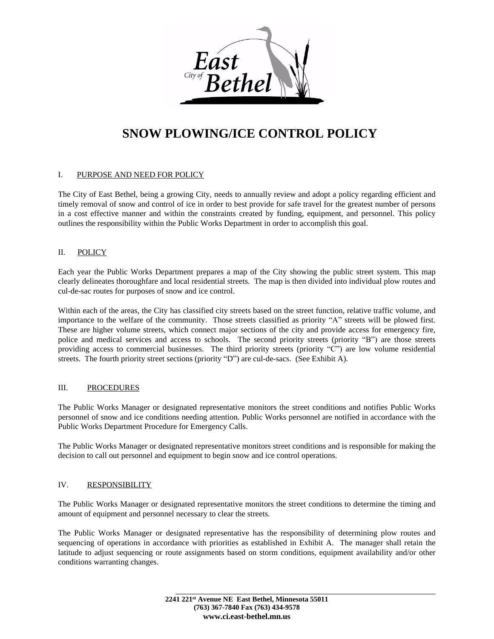

# **SNOW PLOWING/ICE CONTROL POLICY**

#### I. PURPOSE AND NEED FOR POLICY

The City of East Bethel, being a growing City, needs to annually review and adopt a policy regarding efficient and timely removal of snow and control of ice in order to best provide for safe travel for the greatest number of persons in a cost effective manner and within the constraints created by funding, equipment, and personnel. This policy outlines the responsibility within the Public Works Department in order to accomplish this goal.

#### II. POLICY

Each year the Public Works Department prepares a map of the City showing the public street system. This map clearly delineates thoroughfare and local residential streets. The map is then divided into individual plow routes and cul-de-sac routes for purposes of snow and ice control.

Within each of the areas, the City has classified city streets based on the street function, relative traffic volume, and importance to the welfare of the community. Those streets classified as priority "A" streets will be plowed first. These are higher volume streets, which connect major sections of the city and provide access for emergency fire, police and medical services and access to schools. The second priority streets (priority "B") are those streets providing access to commercial businesses. The third priority streets (priority "C") are low volume residential streets. The fourth priority street sections (priority "D") are cul-de-sacs. (See Exhibit A).

#### III. PROCEDURES

The Public Works Manager or designated representative monitors the street conditions and notifies Public Works personnel of snow and ice conditions needing attention. Public Works personnel are notified in accordance with the Public Works Department Procedure for Emergency Calls.

The Public Works Manager or designated representative monitors street conditions and is responsible for making the decision to call out personnel and equipment to begin snow and ice control operations.

#### IV. RESPONSIBILITY

The Public Works Manager or designated representative monitors the street conditions to determine the timing and amount of equipment and personnel necessary to clear the streets.

The Public Works Manager or designated representative has the responsibility of determining plow routes and sequencing of operations in accordance with priorities as established in Exhibit A. The manager shall retain the latitude to adjust sequencing or route assignments based on storm conditions, equipment availability and/or other conditions warranting changes.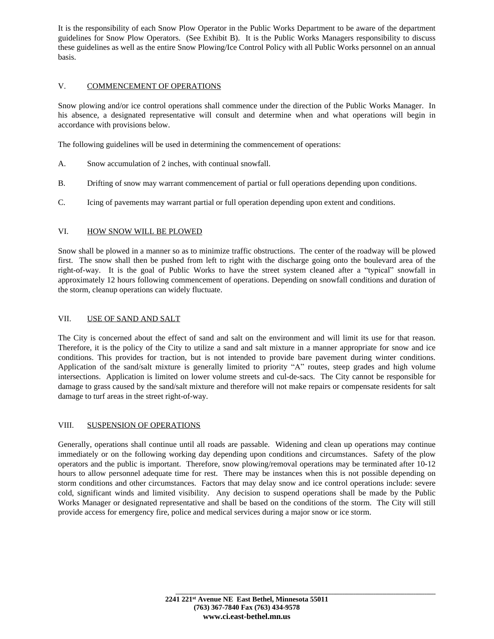It is the responsibility of each Snow Plow Operator in the Public Works Department to be aware of the department guidelines for Snow Plow Operators. (See Exhibit B). It is the Public Works Managers responsibility to discuss these guidelines as well as the entire Snow Plowing/Ice Control Policy with all Public Works personnel on an annual basis.

#### V. COMMENCEMENT OF OPERATIONS

Snow plowing and/or ice control operations shall commence under the direction of the Public Works Manager. In his absence, a designated representative will consult and determine when and what operations will begin in accordance with provisions below.

The following guidelines will be used in determining the commencement of operations:

- A. Snow accumulation of 2 inches, with continual snowfall.
- B. Drifting of snow may warrant commencement of partial or full operations depending upon conditions.
- C. Icing of pavements may warrant partial or full operation depending upon extent and conditions.

#### VI. HOW SNOW WILL BE PLOWED

Snow shall be plowed in a manner so as to minimize traffic obstructions. The center of the roadway will be plowed first. The snow shall then be pushed from left to right with the discharge going onto the boulevard area of the right-of-way. It is the goal of Public Works to have the street system cleaned after a "typical" snowfall in approximately 12 hours following commencement of operations. Depending on snowfall conditions and duration of the storm, cleanup operations can widely fluctuate.

#### VII. USE OF SAND AND SALT

The City is concerned about the effect of sand and salt on the environment and will limit its use for that reason. Therefore, it is the policy of the City to utilize a sand and salt mixture in a manner appropriate for snow and ice conditions. This provides for traction, but is not intended to provide bare pavement during winter conditions. Application of the sand/salt mixture is generally limited to priority "A" routes, steep grades and high volume intersections. Application is limited on lower volume streets and cul-de-sacs. The City cannot be responsible for damage to grass caused by the sand/salt mixture and therefore will not make repairs or compensate residents for salt damage to turf areas in the street right-of-way.

#### VIII. SUSPENSION OF OPERATIONS

Generally, operations shall continue until all roads are passable. Widening and clean up operations may continue immediately or on the following working day depending upon conditions and circumstances. Safety of the plow operators and the public is important. Therefore, snow plowing/removal operations may be terminated after 10-12 hours to allow personnel adequate time for rest. There may be instances when this is not possible depending on storm conditions and other circumstances. Factors that may delay snow and ice control operations include: severe cold, significant winds and limited visibility. Any decision to suspend operations shall be made by the Public Works Manager or designated representative and shall be based on the conditions of the storm. The City will still provide access for emergency fire, police and medical services during a major snow or ice storm.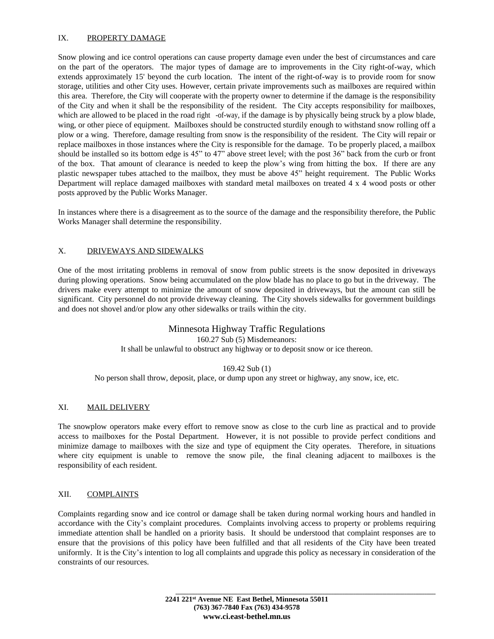#### IX. PROPERTY DAMAGE

Snow plowing and ice control operations can cause property damage even under the best of circumstances and care on the part of the operators. The major types of damage are to improvements in the City right-of-way, which extends approximately 15' beyond the curb location. The intent of the right-of-way is to provide room for snow storage, utilities and other City uses. However, certain private improvements such as mailboxes are required within this area. Therefore, the City will cooperate with the property owner to determine if the damage is the responsibility of the City and when it shall be the responsibility of the resident. The City accepts responsibility for mailboxes, which are allowed to be placed in the road right -of-way, if the damage is by physically being struck by a plow blade, wing, or other piece of equipment. Mailboxes should be constructed sturdily enough to withstand snow rolling off a plow or a wing. Therefore, damage resulting from snow is the responsibility of the resident. The City will repair or replace mailboxes in those instances where the City is responsible for the damage. To be properly placed, a mailbox should be installed so its bottom edge is 45" to 47" above street level; with the post 36" back from the curb or front of the box. That amount of clearance is needed to keep the plow's wing from hitting the box. If there are any plastic newspaper tubes attached to the mailbox, they must be above 45" height requirement. The Public Works Department will replace damaged mailboxes with standard metal mailboxes on treated 4 x 4 wood posts or other posts approved by the Public Works Manager.

In instances where there is a disagreement as to the source of the damage and the responsibility therefore, the Public Works Manager shall determine the responsibility.

#### X. DRIVEWAYS AND SIDEWALKS

One of the most irritating problems in removal of snow from public streets is the snow deposited in driveways during plowing operations. Snow being accumulated on the plow blade has no place to go but in the driveway. The drivers make every attempt to minimize the amount of snow deposited in driveways, but the amount can still be significant. City personnel do not provide driveway cleaning. The City shovels sidewalks for government buildings and does not shovel and/or plow any other sidewalks or trails within the city.

#### Minnesota Highway Traffic Regulations

160.27 Sub (5) Misdemeanors:

It shall be unlawful to obstruct any highway or to deposit snow or ice thereon.

#### 169.42 Sub (1)

No person shall throw, deposit, place, or dump upon any street or highway, any snow, ice, etc.

#### XI. MAIL DELIVERY

The snowplow operators make every effort to remove snow as close to the curb line as practical and to provide access to mailboxes for the Postal Department. However, it is not possible to provide perfect conditions and minimize damage to mailboxes with the size and type of equipment the City operates. Therefore, in situations where city equipment is unable to remove the snow pile, the final cleaning adjacent to mailboxes is the responsibility of each resident.

#### XII. COMPLAINTS

Complaints regarding snow and ice control or damage shall be taken during normal working hours and handled in accordance with the City's complaint procedures. Complaints involving access to property or problems requiring immediate attention shall be handled on a priority basis. It should be understood that complaint responses are to ensure that the provisions of this policy have been fulfilled and that all residents of the City have been treated uniformly. It is the City's intention to log all complaints and upgrade this policy as necessary in consideration of the constraints of our resources.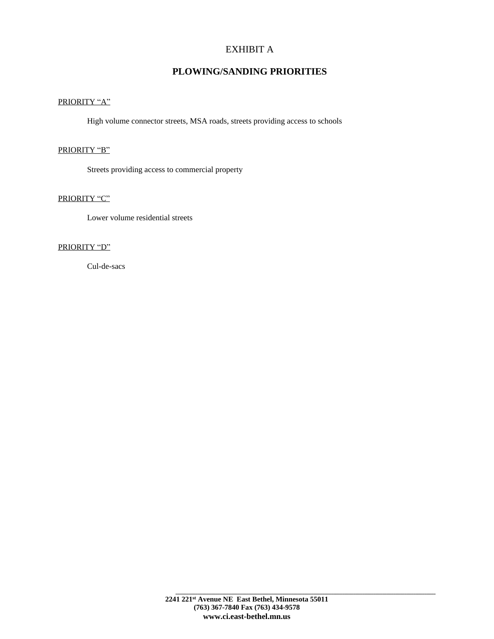## EXHIBIT A

## **PLOWING/SANDING PRIORITIES**

### PRIORITY "A"

High volume connector streets, MSA roads, streets providing access to schools

#### PRIORITY "B"

Streets providing access to commercial property

#### PRIORITY "C"

Lower volume residential streets

#### PRIORITY "D"

Cul-de-sacs